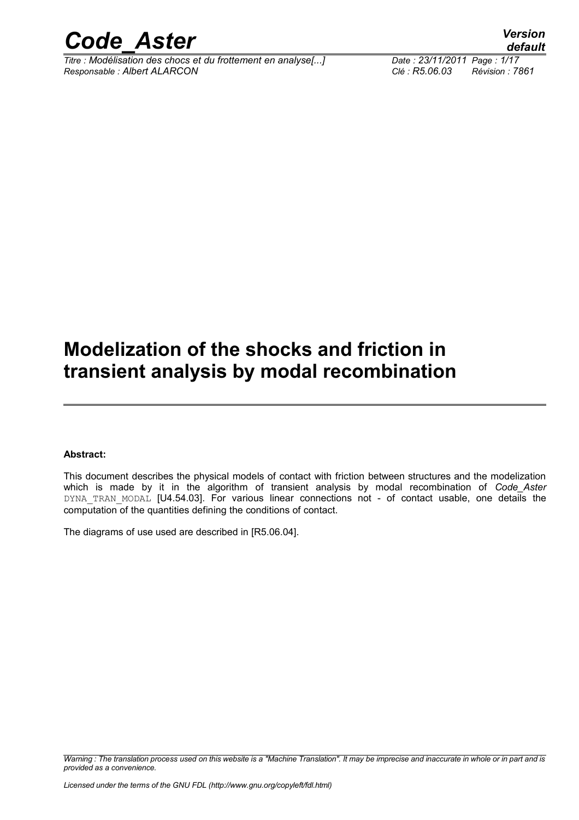

*Titre : Modélisation des chocs et du frottement en analyse[...] Date : 23/11/2011 Page : 1/17 Responsable : Albert ALARCON Clé : R5.06.03 Révision : 7861*

*default*

### **Modelization of the shocks and friction in transient analysis by modal recombination**

#### **Abstract:**

This document describes the physical models of contact with friction between structures and the modelization which is made by it in the algorithm of transient analysis by modal recombination of *Code\_Aster* DYNA TRAN MODAL [U4.54.03]. For various linear connections not - of contact usable, one details the computation of the quantities defining the conditions of contact.

The diagrams of use used are described in [R5.06.04].

*Warning : The translation process used on this website is a "Machine Translation". It may be imprecise and inaccurate in whole or in part and is provided as a convenience.*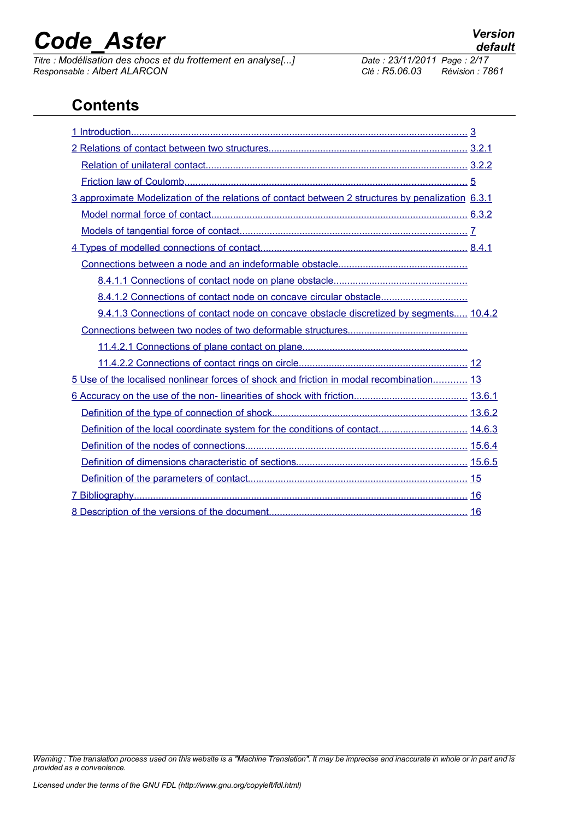# *Code\_Aster Version*<br>Titre : Modélisation des chocs et du frottement en analyse[...] Date : 23/11/2011 Page : 2/17

*Titre : Modélisation des chocs et du frottement en analyse[...] Date : 23/11/2011 Page : 2/17 Responsable : Albert ALARCON Clé : R5.06.03 Révision : 7861*

### **Contents**

| 3 approximate Modelization of the relations of contact between 2 structures by penalization 6.3.1 |  |
|---------------------------------------------------------------------------------------------------|--|
|                                                                                                   |  |
|                                                                                                   |  |
|                                                                                                   |  |
|                                                                                                   |  |
|                                                                                                   |  |
|                                                                                                   |  |
| 9.4.1.3 Connections of contact node on concave obstacle discretized by segments 10.4.2            |  |
|                                                                                                   |  |
|                                                                                                   |  |
|                                                                                                   |  |
| 5 Use of the localised nonlinear forces of shock and friction in modal recombination 13           |  |
|                                                                                                   |  |
|                                                                                                   |  |
| Definition of the local coordinate system for the conditions of contact 14.6.3                    |  |
|                                                                                                   |  |
|                                                                                                   |  |
|                                                                                                   |  |
|                                                                                                   |  |
|                                                                                                   |  |

*Warning : The translation process used on this website is a "Machine Translation". It may be imprecise and inaccurate in whole or in part and is provided as a convenience.*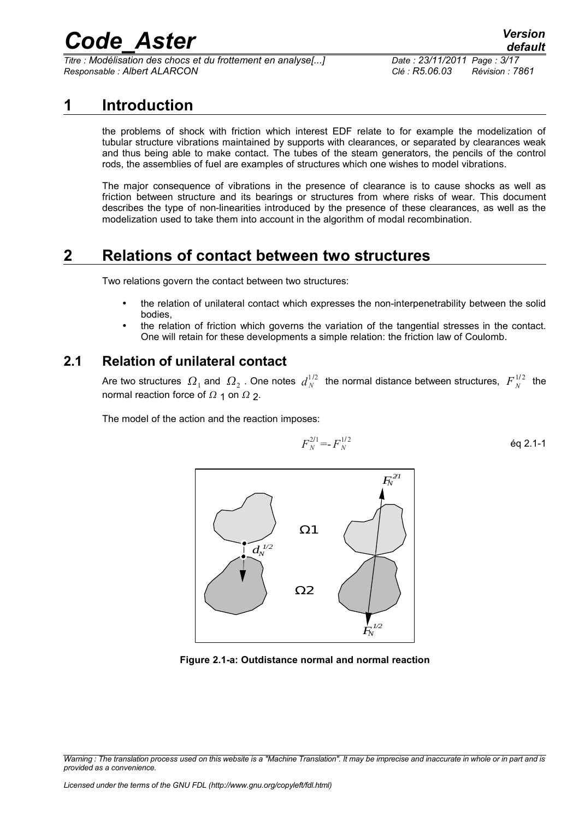*Titre : Modélisation des chocs et du frottement en analyse[...] Date : 23/11/2011 Page : 3/17 Responsable : Albert ALARCON Clé : R5.06.03 Révision : 7861*

### **1 Introduction**

<span id="page-2-0"></span>the problems of shock with friction which interest EDF relate to for example the modelization of tubular structure vibrations maintained by supports with clearances, or separated by clearances weak and thus being able to make contact. The tubes of the steam generators, the pencils of the control rods, the assemblies of fuel are examples of structures which one wishes to model vibrations.

The major consequence of vibrations in the presence of clearance is to cause shocks as well as friction between structure and its bearings or structures from where risks of wear. This document describes the type of non-linearities introduced by the presence of these clearances, as well as the modelization used to take them into account in the algorithm of modal recombination.

### **2 Relations of contact between two structures**

<span id="page-2-2"></span>Two relations govern the contact between two structures:

- the relation of unilateral contact which expresses the non-interpenetrability between the solid bodies,
- the relation of friction which governs the variation of the tangential stresses in the contact. One will retain for these developments a simple relation: the friction law of Coulomb.

#### **2.1 Relation of unilateral contact**

<span id="page-2-1"></span>Are two structures  $\,\varOmega_1^{}$  and  $\,\varOmega_2^{}$  . One notes  $\,\displaystyle d_N^{\,1/2}\,$  the normal distance between structures,  $\,\displaystyle F_{\,N}^{\,1/2}\,$  the normal reaction force of  $\Omega$  1 on  $\Omega$  2.

The model of the action and the reaction imposes:

$$
F_N^{2/1} = F_N^{1/2} \tag{6q 2.1-1}
$$



**Figure 2.1-a: Outdistance normal and normal reaction**

*Warning : The translation process used on this website is a "Machine Translation". It may be imprecise and inaccurate in whole or in part and is provided as a convenience.*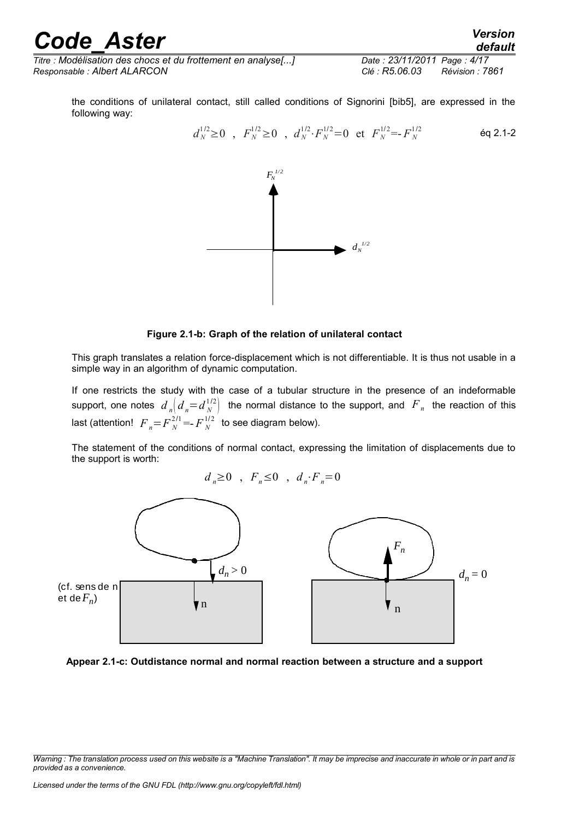*Titre : Modélisation des chocs et du frottement en analyse[...] Date : 23/11/2011 Page : 4/17 Responsable : Albert ALARCON Clé : R5.06.03 Révision : 7861*

*default*

the conditions of unilateral contact, still called conditions of Signorini [bib5], are expressed in the following way:

$$
d_N^{1/2} \ge 0
$$
,  $F_N^{1/2} \ge 0$ ,  $d_N^{1/2} \cdot F_N^{1/2} = 0$  et  $F_N^{1/2} = F_N^{1/2}$  *Eq 2.1-2*



#### **Figure 2.1-b: Graph of the relation of unilateral contact**

This graph translates a relation force-displacement which is not differentiable. It is thus not usable in a simple way in an algorithm of dynamic computation.

If one restricts the study with the case of a tubular structure in the presence of an indeformable support, one notes  $d$   $_{n}$  $\left|d$   $_{n}=d$   $_{N}^{1/2}\right|$  the normal distance to the support, and  $\ {F}$   $_{n}$  the reaction of this last (attention!  $F_{n} = F_{N}^{2/1} = F_{N}^{1/2}$  to see diagram below).

The statement of the conditions of normal contact, expressing the limitation of displacements due to the support is worth:

$$
d_n \ge 0 \quad , \quad F_n \le 0 \quad , \quad d_n \cdot F_n = 0
$$





*Warning : The translation process used on this website is a "Machine Translation". It may be imprecise and inaccurate in whole or in part and is provided as a convenience.*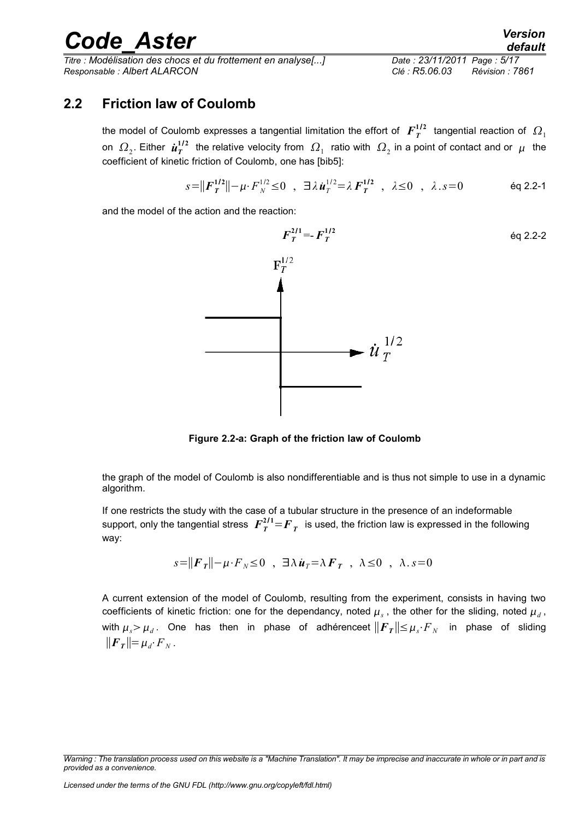*Titre : Modélisation des chocs et du frottement en analyse[...] Date : 23/11/2011 Page : 5/17 Responsable : Albert ALARCON Clé : R5.06.03 Révision : 7861*

#### **2.2 Friction law of Coulomb**

<span id="page-4-0"></span>the model of Coulomb expresses a tangential limitation the effort of  $\bm{F}^{1/2}_T$  tangential reaction of  $\bm{\varOmega}_1$ on  $\,\varOmega_2.$  Either  $\,\dot{\bm u}_T^{1/2}\,$  the relative velocity from  $\,\varOmega_1\,$  ratio with  $\,\varOmega_2$  in a point of contact and or  $\,\mu\,$  the coefficient of kinetic friction of Coulomb, one has [bib5]:

$$
s = ||\boldsymbol{F}_T^{1/2}|| - \mu \cdot \boldsymbol{F}_N^{1/2} \le 0 \quad , \quad \exists \lambda \, \boldsymbol{\dot{u}}_T^{1/2} = \lambda \, \boldsymbol{F}_T^{1/2} \quad , \quad \lambda \le 0 \quad , \quad \lambda \cdot s = 0 \qquad \qquad \text{Eq 2.2-1}
$$

and the model of the action and the reaction:



**Figure 2.2-a: Graph of the friction law of Coulomb**

the graph of the model of Coulomb is also nondifferentiable and is thus not simple to use in a dynamic algorithm.

If one restricts the study with the case of a tubular structure in the presence of an indeformable support, only the tangential stress  $\left. F_{\varUpsilon}^{2/1}\!=\!{F}_{\varUpsilon}\right.$  is used, the friction law is expressed in the following way:

$$
s = ||\boldsymbol{F}_T|| - \mu \cdot \boldsymbol{F}_N \le 0 \quad , \quad \exists \lambda \, \boldsymbol{\dot{u}}_T = \lambda \, \boldsymbol{F}_T \quad , \quad \lambda \le 0 \quad , \quad \lambda \cdot s = 0
$$

A current extension of the model of Coulomb, resulting from the experiment, consists in having two coefficients of kinetic friction: one for the dependancy, noted  $\mu_s$  , the other for the sliding, noted  $\mu_d$  , with  $\mu_s\!>\mu_d$  . One has then in phase of adhérenceet  $\|\bm{F}_{\bm{T}}\|\!\leq\!\mu_s\!\cdot\! F_{\scriptscriptstyle N}$  in phase of sliding  $||F_T|| = \mu_d \cdot F_N$ .

*Warning : The translation process used on this website is a "Machine Translation". It may be imprecise and inaccurate in whole or in part and is provided as a convenience.*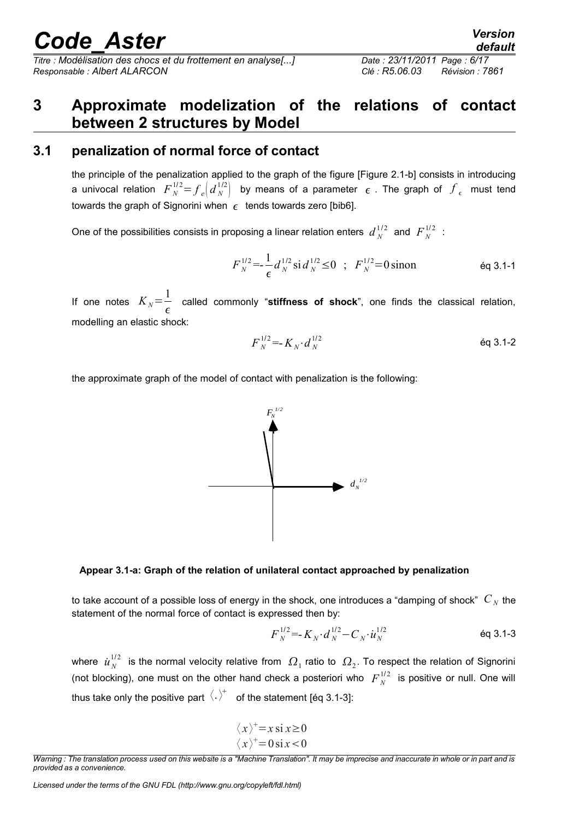*Titre : Modélisation des chocs et du frottement en analyse[...] Date : 23/11/2011 Page : 6/17*

# *Responsable : Albert ALARCON Clé : R5.06.03 Révision : 7861*

### <span id="page-5-1"></span>**3 Approximate modelization of the relations of contact between 2 structures by Model**

### **3.1 penalization of normal force of contact**

<span id="page-5-0"></span>the principle of the penalization applied to the graph of the figure [Figure 2.1-b] consists in introducing a univocal relation  $F_N^{1/2} {=} f_e \Big( {d}_N^{1/2} \Big)$  by means of a parameter  $\epsilon$  . The graph of  $f_\epsilon$  must tend towards the graph of Signorini when  $\epsilon$  tends towards zero [bib6].

One of the possibilities consists in proposing a linear relation enters  $d_N^{1/2}$  and  $F_N^{1/2}$  :

$$
F_N^{1/2} = \frac{1}{\epsilon} d_N^{1/2} \sin \frac{d_N^{1/2}}{N} \le 0 \quad ; \quad F_N^{1/2} = 0 \sin \theta \qquad \text{Eq 3.1-1}
$$

If one notes  $K_N = \frac{1}{2}$  $\frac{1}{\epsilon}$  called commonly "**stiffness of shock**", one finds the classical relation, modelling an elastic shock:

$$
F_N^{1/2} = K_N \cdot d_N^{1/2} \tag{6q 3.1-2}
$$

the approximate graph of the model of contact with penalization is the following:



to take account of a possible loss of energy in the shock, one introduces a "damping of shock"  $C_N$  the statement of the normal force of contact is expressed then by:

$$
F_N^{1/2} = K_N \cdot d_N^{1/2} - C_N \cdot u_N^{1/2}
$$

where  $|u_N^{1/2}|$  is the normal velocity relative from  $|\Omega_1|$  ratio to  $|\Omega_2|$ . To respect the relation of Signorini (not blocking), one must on the other hand check a posteriori who  $F_N^{1/2}$  is positive or null. One will thus take only the positive part  $\langle . \rangle^+$  of the statement [éq 3.1-3]:

$$
\langle x \rangle^+ = x \operatorname{si} x \ge 0
$$
  

$$
\langle x \rangle^+ = 0 \operatorname{si} x < 0
$$



*Warning : The translation process used on this website is a "Machine Translation". It may be imprecise and inaccurate in whole or in part and is provided as a convenience.*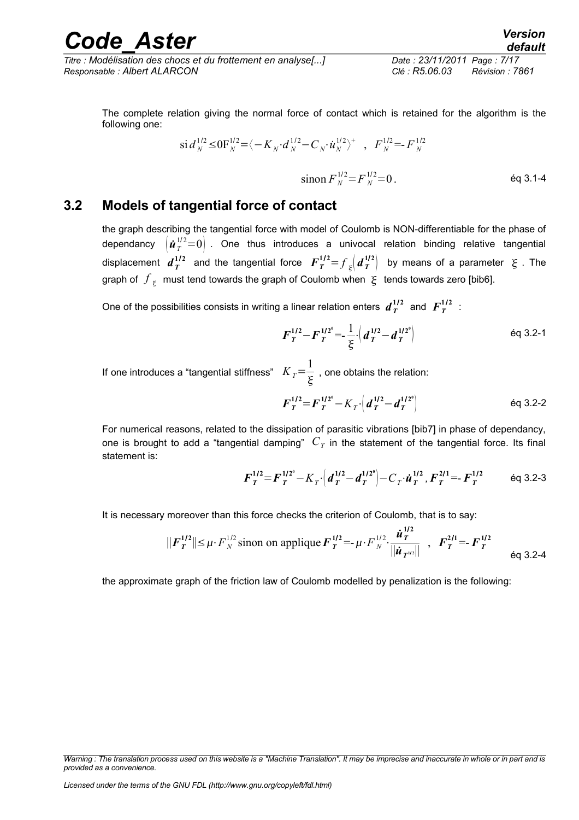*Titre : Modélisation des chocs et du frottement en analyse[...] Date : 23/11/2011 Page : 7/17 Responsable : Albert ALARCON Clé : R5.06.03 Révision : 7861*

### *default*

The complete relation giving the normal force of contact which is retained for the algorithm is the following one:

$$
\text{si } d_N^{1/2} \leq 0 \text{F}_N^{1/2} = \langle -K_N \cdot d_N^{1/2} - C_N \cdot \dot{u}_N^{1/2} \rangle^+ , F_N^{1/2} = F_N^{1/2}
$$

 $\sin \text{on } F_N^{1/2} = F_N^{1/2} = 0$ . éq 3.1-4

#### **3.2 Models of tangential force of contact**

<span id="page-6-0"></span>the graph describing the tangential force with model of Coulomb is NON-differentiable for the phase of dependancy  $\left(\dot{\bm{u}}_{T}^{\,1/2}\!=\!0\right)$  . One thus introduces a univocal relation binding relative tangential displacement  $d_T^{1/2}$  and the tangential force  $F_T^{1/2} {=} f_\frac{\xi}{2} \left( d_T^{1/2} \right)$  by means of a parameter  $\,\xi$  . The graph of  $\left. f_{\frac{z}{2}}\right.$  must tend towards the graph of Coulomb when  $\left. \xi\right.$  tends towards zero [bib6].

One of the possibilities consists in writing a linear relation enters  $d_T^{\,1/2}$  and  $\,F_T^{\,1/2}\,$  :

$$
F_T^{1/2} - F_T^{1/2^0} = \frac{1}{\xi} \cdot \left( d_T^{1/2} - d_T^{1/2^0} \right)
$$

If one introduces a "tangential stiffness"  $K_T = \frac{1}{\tau}$  $\frac{1}{5}$ , one obtains the relation:

$$
F_T^{1/2} = F_T^{1/2^0} - K_T \left( d_T^{1/2} - d_T^{1/2^0} \right)
$$

For numerical reasons, related to the dissipation of parasitic vibrations [bib7] in phase of dependancy, one is brought to add a "tangential damping"  $\,C_{\it T}$  in the statement of the tangential force. Its final statement is:

$$
\boldsymbol{F}_T^{1/2} = \boldsymbol{F}_T^{1/2^0} - K_T \cdot \left( \boldsymbol{d}_T^{1/2} - \boldsymbol{d}_T^{1/2^0} \right) - C_T \cdot \boldsymbol{\dot{u}}_T^{1/2}, \boldsymbol{F}_T^{2/1} = -\boldsymbol{F}_T^{1/2} \qquad \text{Eq 3.2-3}
$$

**1**/ **2**

It is necessary moreover than this force checks the criterion of Coulomb, that is to say:

$$
||F_T^{1/2}|| \le \mu \cdot F_N^{1/2} \text{ simon on applicative } F_T^{1/2} = -\mu \cdot F_N^{1/2} \cdot \frac{\dot{u}_T^{1/2}}{||\dot{u}_T^{1/2}||}, \quad F_T^{2/1} = -F_T^{1/2} \qquad \text{Eq 3.2-4}
$$

the approximate graph of the friction law of Coulomb modelled by penalization is the following:

*Warning : The translation process used on this website is a "Machine Translation". It may be imprecise and inaccurate in whole or in part and is provided as a convenience.*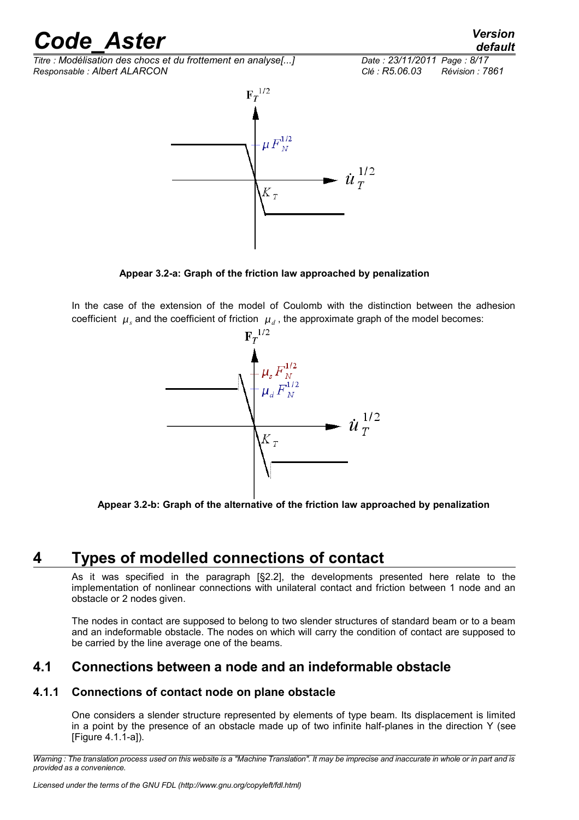*Titre : Modélisation des chocs et du frottement en analyse[...] Date : 23/11/2011 Page : 8/17 Responsable : Albert ALARCON Clé : R5.06.03 Révision : 7861*

 $F_T^{1/2}$  $\mu F_N^{1/2}$  $\dot{u}^{1/2}_{T}$  $K_T$ 

**Appear 3.2-a: Graph of the friction law approached by penalization**

In the case of the extension of the model of Coulomb with the distinction between the adhesion coefficient  $\mu_s$  and the coefficient of friction  $\mu_d$ , the approximate graph of the model becomes:



**Appear 3.2-b: Graph of the alternative of the friction law approached by penalization**

### **4 Types of modelled connections of contact**

<span id="page-7-2"></span>As it was specified in the paragraph [§2.2], the developments presented here relate to the implementation of nonlinear connections with unilateral contact and friction between 1 node and an obstacle or 2 nodes given.

The nodes in contact are supposed to belong to two slender structures of standard beam or to a beam and an indeformable obstacle. The nodes on which will carry the condition of contact are supposed to be carried by the line average one of the beams.

### <span id="page-7-1"></span>**4.1 Connections between a node and an indeformable obstacle**

#### **4.1.1 Connections of contact node on plane obstacle**

<span id="page-7-0"></span>One considers a slender structure represented by elements of type beam. Its displacement is limited in a point by the presence of an obstacle made up of two infinite half-planes in the direction Y (see [Figure 4.1.1-a]).

*Warning : The translation process used on this website is a "Machine Translation". It may be imprecise and inaccurate in whole or in part and is provided as a convenience.*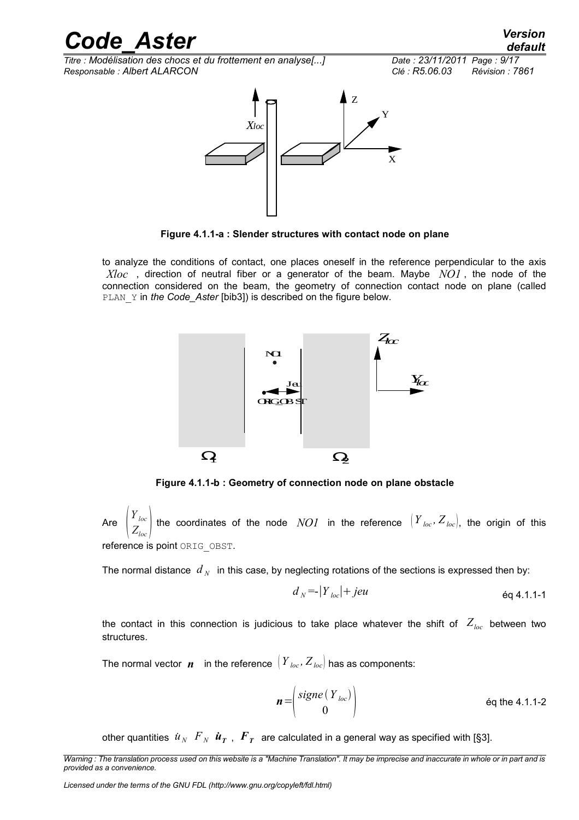*Titre : Modélisation des chocs et du frottement en analyse[...] Date : 23/11/2011 Page : 9/17 Responsable : Albert ALARCON Clé : R5.06.03 Révision : 7861*



**Figure 4.1.1-a : Slender structures with contact node on plane**

to analyze the conditions of contact, one places oneself in the reference perpendicular to the axis *Xloc* , direction of neutral fiber or a generator of the beam. Maybe *NO1* , the node of the connection considered on the beam, the geometry of connection contact node on plane (called PLAN Y in *the Code\_Aster* [bib3]) is described on the figure below.



**Figure 4.1.1-b : Geometry of connection node on plane obstacle**

Are  $\Big|$  Z *Yloc*  $Z_{loc}$ <sup> $\vert$ </sup> the coordinates of the node  $\; NOI \;$  in the reference  $\; \left [ \, Y_{\; loc} , \, Z_{\; loc} \right ] , \;$  the origin of this reference is point ORIG OBST.

The normal distance  $d_N$  in this case, by neglecting rotations of the sections is expressed then by:

$$
d_N = |Y_{loc}| + jeu
$$

the contact in this connection is judicious to take place whatever the shift of  $Z_{loc}$  between two structures.

The normal vector *n* in the reference  $(Y_{loc}, Z_{loc})$  has as components:

$$
n = \begin{pmatrix} \text{sign}(Y_{\text{loc}}) \\ 0 \end{pmatrix}
$$
 eq the 4.1.1-2

other quantities  $\|\pmb{u}_N^-\pmb{F}_N^-\pmb{u}_T^-\|$ ,  $\pmb{F}_T^-\,$  are calculated in a general way as specified with [§3].

*Licensed under the terms of the GNU FDL (http://www.gnu.org/copyleft/fdl.html)*

*Warning : The translation process used on this website is a "Machine Translation". It may be imprecise and inaccurate in whole or in part and is provided as a convenience.*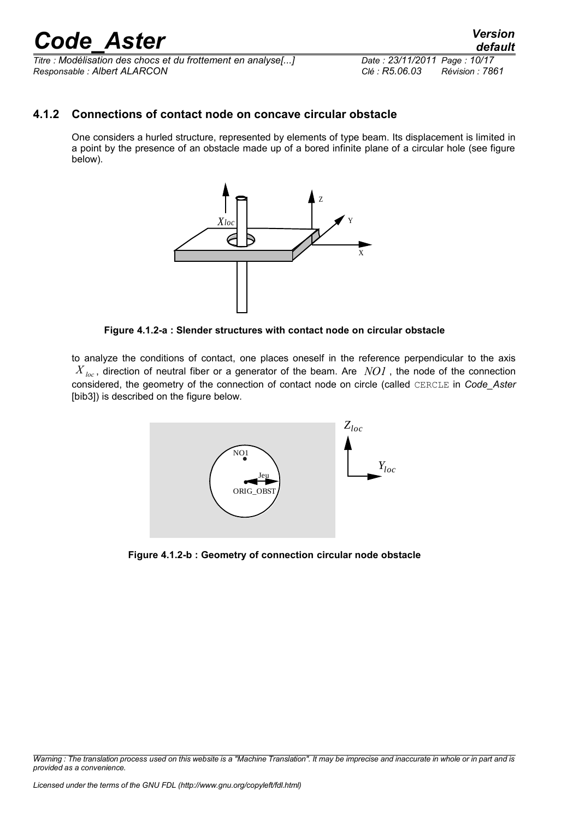*Titre : Modélisation des chocs et du frottement en analyse[...] Date : 23/11/2011 Page : 10/17 Responsable : Albert ALARCON Clé : R5.06.03 Révision : 7861*

#### **4.1.2 Connections of contact node on concave circular obstacle**

<span id="page-9-0"></span>One considers a hurled structure, represented by elements of type beam. Its displacement is limited in a point by the presence of an obstacle made up of a bored infinite plane of a circular hole (see figure below).



**Figure 4.1.2-a : Slender structures with contact node on circular obstacle**

to analyze the conditions of contact, one places oneself in the reference perpendicular to the axis *X*  $_{loc}$ , direction of neutral fiber or a generator of the beam. Are *NO1*, the node of the connection considered, the geometry of the connection of contact node on circle (called CERCLE in *Code\_Aster* [bib3]) is described on the figure below.



**Figure 4.1.2-b : Geometry of connection circular node obstacle**

*Warning : The translation process used on this website is a "Machine Translation". It may be imprecise and inaccurate in whole or in part and is provided as a convenience.*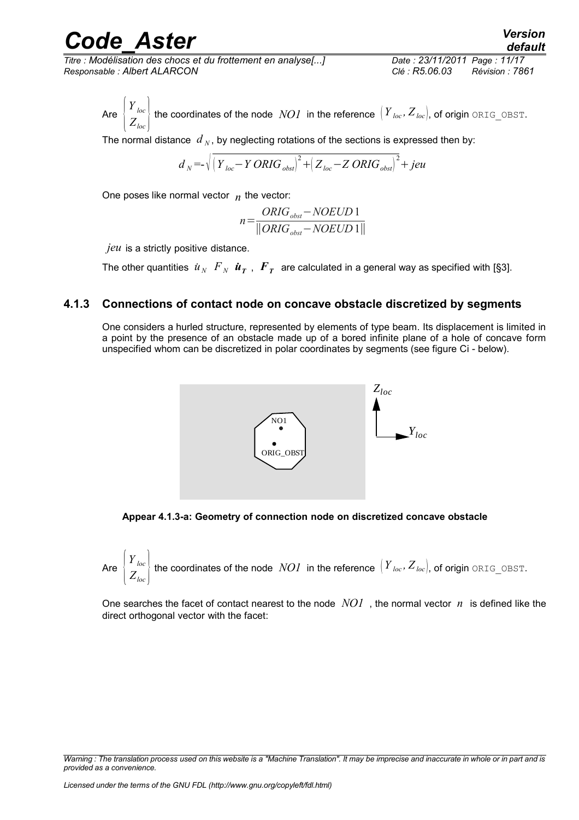*Titre : Modélisation des chocs et du frottement en analyse[...] Date : 23/11/2011 Page : 11/17 Responsable : Albert ALARCON Clé : R5.06.03 Révision : 7861*

*default*

Are  $\bigl | \begin{array}{c} 2 \end{array}$  $\left\{\n \begin{aligned}\n Y_{loc} \\
Z_{loc}\n \end{aligned}\n \right\}$  the coordinates of the node  $\left\{ \begin{aligned}\n NOI \text{ in the reference }\n \left[ \begin{aligned}\n Y_{loc}, Z_{loc}\n \end{aligned}\right],\n \text{of origin ORIG_OBST.}\n \end{aligned}\n \right\}$ 

The normal distance  $d_N$ , by neglecting rotations of the sections is expressed then by:

$$
d_N = \sqrt{\left(Y_{loc} - Y \, ORIG_{\text{obst}}\right)^2 + \left(Z_{loc} - Z \, ORIG_{\text{obst}}\right)^2 + \text{jeu}}
$$

One poses like normal vector  $n$  the vector:

$$
n = \frac{ORIG_{obst} - NOEUD1}{\|ORIG_{obst} - NOEUD1\|}
$$

*jeu* is a strictly positive distance.

The other quantities  $\|u_N\|F_N\| \bm{u_T}$  ,  $\|F_T\|$  are calculated in a general way as specified with [§3].

#### **4.1.3 Connections of contact node on concave obstacle discretized by segments**

<span id="page-10-0"></span>One considers a hurled structure, represented by elements of type beam. Its displacement is limited in a point by the presence of an obstacle made up of a bored infinite plane of a hole of concave form unspecified whom can be discretized in polar coordinates by segments (see figure Ci - below).





Are 
$$
\left\{\n \begin{aligned}\n Y_{loc} \\
Z_{loc}\n \end{aligned}\n \right\}
$$
 the coordinates of the node *NOI* in the reference  $\left(\n Y_{loc}, \n Z_{loc}\n \right)$ , of origin *ORIG\_OBST*.

One searches the facet of contact nearest to the node *NO1* , the normal vector *n* is defined like the direct orthogonal vector with the facet:

*Warning : The translation process used on this website is a "Machine Translation". It may be imprecise and inaccurate in whole or in part and is provided as a convenience.*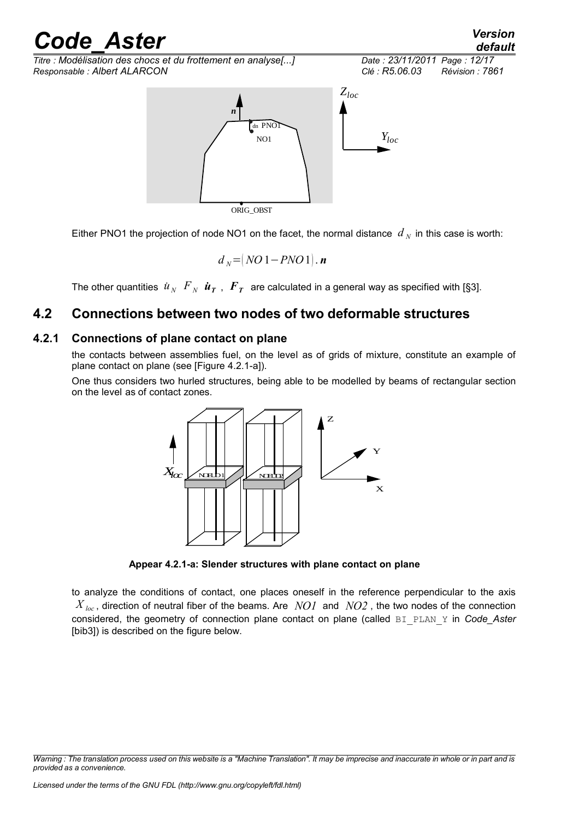*Titre : Modélisation des chocs et du frottement en analyse[...] Date : 23/11/2011 Page : 12/17 Responsable : Albert ALARCON Clé : R5.06.03 Révision : 7861*



Either PNO1 the projection of node NO1 on the facet, the normal distance  $d_N$  in this case is worth:

$$
d_N = (NO1 - PNO1).
$$
 **n**

<span id="page-11-1"></span>The other quantities  $\|\pmb{u}_N\|\pmb{F}_N\|\pmb{u}_T\|$ ,  $\pmb{F}_T\|$  are calculated in a general way as specified with [§3].

### **4.2 Connections between two nodes of two deformable structures**

#### **4.2.1 Connections of plane contact on plane**

<span id="page-11-0"></span>the contacts between assemblies fuel, on the level as of grids of mixture, constitute an example of plane contact on plane (see [Figure 4.2.1-a]).

One thus considers two hurled structures, being able to be modelled by beams of rectangular section on the level as of contact zones.



**Appear 4.2.1-a: Slender structures with plane contact on plane**

to analyze the conditions of contact, one places oneself in the reference perpendicular to the axis  $X_{loc}$ , direction of neutral fiber of the beams. Are *NO1* and *NO2*, the two nodes of the connection considered, the geometry of connection plane contact on plane (called BI\_PLAN\_Y in *Code\_Aster* [bib3]) is described on the figure below.

*default*

*Warning : The translation process used on this website is a "Machine Translation". It may be imprecise and inaccurate in whole or in part and is provided as a convenience.*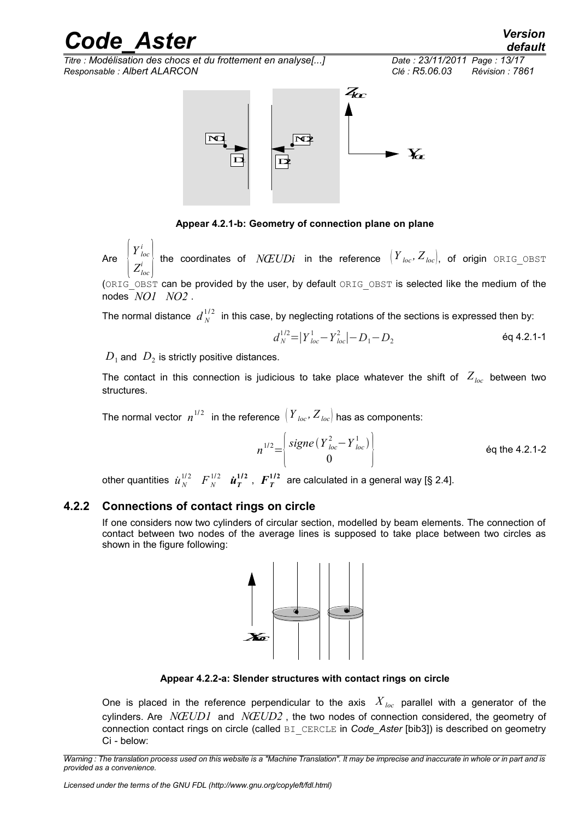*Titre : Modélisation des chocs et du frottement en analyse[...] Date : 23/11/2011 Page : 13/17 Responsable : Albert ALARCON Clé : R5.06.03 Révision : 7861*



**Appear 4.2.1-b: Geometry of connection plane on plane**

Are  $\begin{bmatrix} 1 \\ Z \end{bmatrix}$  $Y^i_{loc}$  $\left\{\frac{Y}{I_{loc}}\right\}$  the coordinates of  $N\!EUDi$  in the reference  $\left\{Y_{loc},Z_{loc}\right\}$  of origin <code>ORIG\_OBST</code>

(ORIG OBST can be provided by the user, by default ORIG OBST is selected like the medium of the nodes *NO1 NO2* .

The normal distance  $\;d_{\,{N}}^{\,1/2}\;$  in this case, by neglecting rotations of the sections is expressed then by:

$$
d_N^{1/2} = |Y_{loc}^1 - Y_{loc}^2| - D_1 - D_2
$$
 \t\t\t\t $\text{Eq 4.2.1-1}$ 

 $\overline{D}_1$  and  $\overline{D}_2$  is strictly positive distances.

The contact in this connection is judicious to take place whatever the shift of  $Z_{loc}$  between two structures.

The normal vector  $\;n^{1/2}\;$  in the reference  $\left(\,Y_{\; loc},Z_{\; loc}\right)$  has as components:

$$
n^{1/2} = \begin{cases} \text{sign}(Y_{loc}^2 - Y_{loc}^1) \\ 0 \end{cases}
$$
 eq the 4.2.1-2

other quantities  $\dot{u}_N^{1/2}$   $F_N^{1/2}$   $\dot{\bm{u}}_T^{1/2}$  ,  $F_T^{1/2}$  are calculated in a general way [§ 2.4].

#### **4.2.2 Connections of contact rings on circle**

<span id="page-12-0"></span>If one considers now two cylinders of circular section, modelled by beam elements. The connection of contact between two nodes of the average lines is supposed to take place between two circles as shown in the figure following:



**Appear 4.2.2-a: Slender structures with contact rings on circle**

One is placed in the reference perpendicular to the axis  $X_{loc}$  parallel with a generator of the cylinders. Are *NŒUD1* and *NŒUD2* , the two nodes of connection considered, the geometry of connection contact rings on circle (called BI\_CERCLE in *Code\_Aster* [bib3]) is described on geometry Ci - below:

*Warning : The translation process used on this website is a "Machine Translation". It may be imprecise and inaccurate in whole or in part and is provided as a convenience.*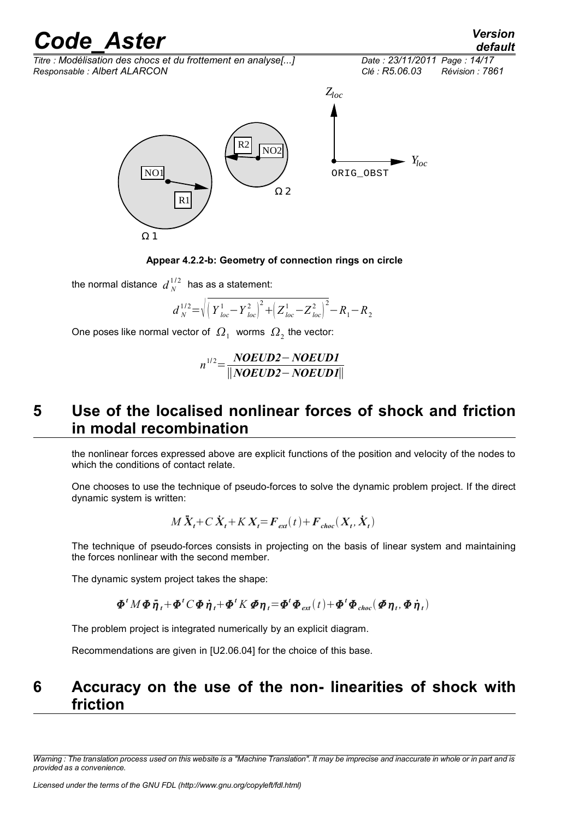*default*

*Titre : Modélisation des chocs et du frottement en analyse[...] Date : 23/11/2011 Page : 14/17*



**Appear 4.2.2-b: Geometry of connection rings on circle**

the normal distance  $\,d_{\,{N}}^{\,1/2}\,$  has as a statement:

$$
d_N^{1/2} = \sqrt{\left(Y_{loc}^1 - Y_{loc}^2\right)^2 + \left(Z_{loc}^1 - Z_{loc}^2\right)^2} - R_1 - R_2
$$

One poses like normal vector of  $\varOmega_1^-$  worms  $\varOmega_2^+$  the vector:

$$
n^{1/2} = \frac{NOEUD2 - NOEUD1}{\|NOEUD2 - NOEUD1\|}
$$

### <span id="page-13-1"></span>**5 Use of the localised nonlinear forces of shock and friction in modal recombination**

the nonlinear forces expressed above are explicit functions of the position and velocity of the nodes to which the conditions of contact relate.

One chooses to use the technique of pseudo-forces to solve the dynamic problem project. If the direct dynamic system is written:

$$
M\ddot{X}_t + C\dot{X}_t + K\,X_t = F_{ext}(t) + F_{choc}(X_t, \dot{X}_t)
$$

The technique of pseudo-forces consists in projecting on the basis of linear system and maintaining the forces nonlinear with the second member.

The dynamic system project takes the shape:

$$
\boldsymbol{\Phi}^t \boldsymbol{M} \boldsymbol{\Phi} \boldsymbol{\ddot{\eta}}_t + \boldsymbol{\Phi}^t \boldsymbol{C} \boldsymbol{\Phi} \boldsymbol{\dot{\eta}}_t + \boldsymbol{\Phi}^t \boldsymbol{K} \boldsymbol{\Phi} \boldsymbol{\eta}_t = \boldsymbol{\Phi}^t \boldsymbol{\Phi}_{ext}(t) + \boldsymbol{\Phi}^t \boldsymbol{\Phi}_{choc}(\boldsymbol{\Phi} \boldsymbol{\eta}_t, \boldsymbol{\Phi} \boldsymbol{\dot{\eta}}_t)
$$

The problem project is integrated numerically by an explicit diagram.

<span id="page-13-0"></span>Recommendations are given in [U2.06.04] for the choice of this base.

### **6 Accuracy on the use of the non- linearities of shock with friction**

*Warning : The translation process used on this website is a "Machine Translation". It may be imprecise and inaccurate in whole or in part and is provided as a convenience.*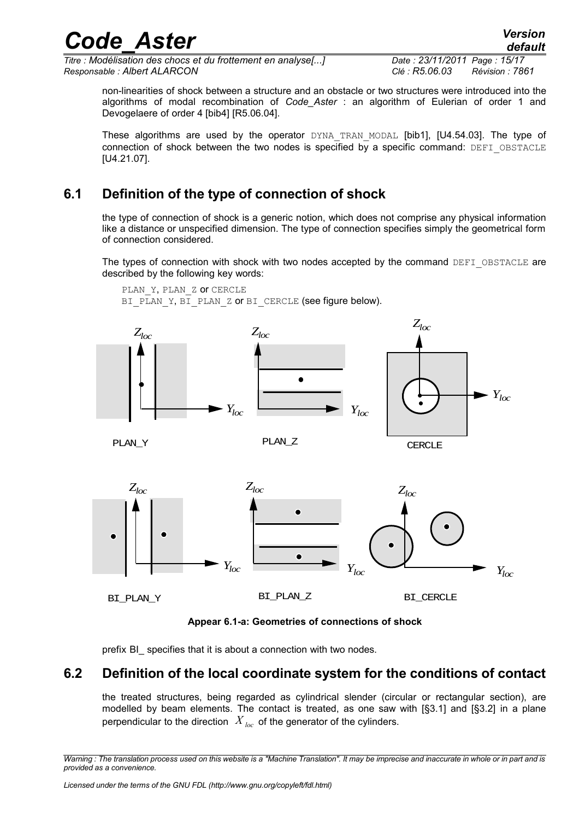*Titre : Modélisation des chocs et du frottement en analyse[...] Date : 23/11/2011 Page : 15/17 Responsable : Albert ALARCON Clé : R5.06.03 Révision : 7861*

PLAN\_Y, PLAN\_Z OT CERCLE

non-linearities of shock between a structure and an obstacle or two structures were introduced into the algorithms of modal recombination of *Code\_Aster* : an algorithm of Eulerian of order 1 and Devogelaere of order 4 [bib4] [R5.06.04].

These algorithms are used by the operator DYNA TRAN MODAL [bib1], [U4.54.03]. The type of connection of shock between the two nodes is specified by a specific command: DEFI\_OBSTACLE [U4.21.07].

### **6.1 Definition of the type of connection of shock**

<span id="page-14-1"></span>the type of connection of shock is a generic notion, which does not comprise any physical information like a distance or unspecified dimension. The type of connection specifies simply the geometrical form of connection considered.

The types of connection with shock with two nodes accepted by the command DEFI\_OBSTACLE are described by the following key words:



**Appear 6.1-a: Geometries of connections of shock**

<span id="page-14-0"></span>prefix BI specifies that it is about a connection with two nodes.

#### **6.2 Definition of the local coordinate system for the conditions of contact**

the treated structures, being regarded as cylindrical slender (circular or rectangular section), are modelled by beam elements. The contact is treated, as one saw with [§3.1] and [§3.2] in a plane perpendicular to the direction  $X_{loc}$  of the generator of the cylinders.

*Warning : The translation process used on this website is a "Machine Translation". It may be imprecise and inaccurate in whole or in part and is provided as a convenience.*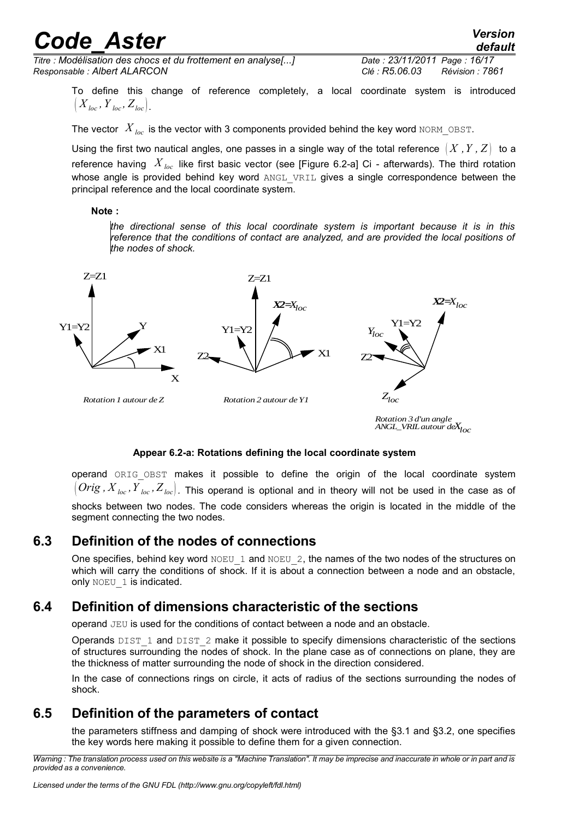*Titre : Modélisation des chocs et du frottement en analyse[...] Date : 23/11/2011 Page : 16/17 Responsable : Albert ALARCON Clé : R5.06.03 Révision : 7861*

*default*

To define this change of reference completely, a local coordinate system is introduced  $(X_{loc}, Y_{loc}, Z_{loc})$ 

The vector  $X_{loc}$  is the vector with 3 components provided behind the key word NORM\_OBST.

Using the first two nautical angles, one passes in a single way of the total reference  $(X, Y, Z)$  to a reference having *X loc* like first basic vector (see [Figure 6.2-a] Ci - afterwards). The third rotation whose angle is provided behind key word ANGL VRIL gives a single correspondence between the principal reference and the local coordinate system.

#### **Note :**

*the directional sense of this local coordinate system is important because it is in this reference that the conditions of contact are analyzed, and are provided the local positions of the nodes of shock.*



#### **Appear 6.2-a: Rotations defining the local coordinate system**

operand ORIG OBST makes it possible to define the origin of the local coordinate system  $\langle$  *Orig*,  $X_{loc}$ ,  $Y_{loc}$ ,  $Z_{loc}$   $]$ . This operand is optional and in theory will not be used in the case as of shocks between two nodes. The code considers whereas the origin is located in the middle of the segment connecting the two nodes.

#### **6.3 Definition of the nodes of connections**

<span id="page-15-2"></span>One specifies, behind key word NOEU 1 and NOEU 2, the names of the two nodes of the structures on which will carry the conditions of shock. If it is about a connection between a node and an obstacle, only NOEU 1 is indicated.

#### **6.4 Definition of dimensions characteristic of the sections**

<span id="page-15-1"></span>operand JEU is used for the conditions of contact between a node and an obstacle.

Operands  $\text{DIST 1}$  and  $\text{DIST 2}$  make it possible to specify dimensions characteristic of the sections of structures surrounding the nodes of shock. In the plane case as of connections on plane, they are the thickness of matter surrounding the node of shock in the direction considered.

In the case of connections rings on circle, it acts of radius of the sections surrounding the nodes of shock.

### **6.5 Definition of the parameters of contact**

<span id="page-15-0"></span>the parameters stiffness and damping of shock were introduced with the §3.1 and §3.2, one specifies the key words here making it possible to define them for a given connection.

*Warning : The translation process used on this website is a "Machine Translation". It may be imprecise and inaccurate in whole or in part and is provided as a convenience.*